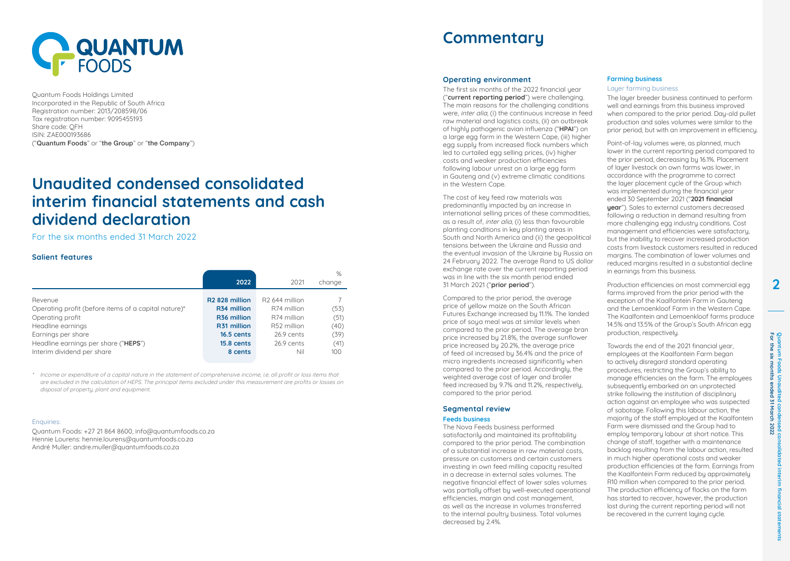

Quantum Foods Holdings Limited Incorporated in the Republic of South Africa Registration number: 2013/208598/06 Tax registration number: 9095455193 Share code: QFH ISIN: ZAE000193686 ("Quantum Foods" or "the Group" or "the Company")

# **Unaudited condensed consolidated interim financial statements and cash dividend declaration**

For the six months ended 31 March 2022

## **Salient features**

|                                                      | 2022                       | 2021                       | $\%$<br>change |
|------------------------------------------------------|----------------------------|----------------------------|----------------|
| Revenue                                              | R <sub>2</sub> 828 million | R <sub>2</sub> 644 million | (53)           |
| Operating profit (before items of a capital nature)* | R34 million                | R74 million                |                |
| Operating profit                                     | R <sub>36</sub> million    | R74 million                | (51)           |
| Headline earnings                                    | R31 million                | R52 million                | (40)           |
| Earnings per share                                   | 16.5 cents                 | 26.9 cents                 | (39)           |
| Headline earnings per share ("HEPS")                 | 15.8 cents                 | 26.9 cents                 | (41)           |
| Interim dividend per share                           | 8 cents                    | Nil                        | 100            |

\* Income or expenditure of a capital nature in the statement of comprehensive income, i.e. all profit or loss items that are excluded in the calculation of HEPS. The principal items excluded under this measurement are profits or losses on disposal of property, plant and equipment.

#### Enquiries:

Quantum Foods: +27 21 864 8600, info@quantumfoods.co.za Hennie Lourens: hennie.lourens@quantumfoods.co.za André Muller: andre.muller@quantumfoods.co.za

# **Commentary**

#### **Operating environment**

The first six months of the 2022 financial year ("**current reporting period**") were challenging. The main reasons for the challenging conditions were, *inter alia*, (i) the continuous increase in feed raw material and logistics costs, (ii) an outbreak of highly pathogenic avian influenza ("**HPAI**") on a large egg farm in the Western Cape, (iii) higher egg supply from increased flock numbers which led to curtailed egg selling prices, (iv) higher costs and weaker production efficiencies following labour unrest on a large egg farm in Gauteng and (v) extreme climatic conditions in the Western Cape.

The cost of key feed raw materials was predominantly impacted by an increase in international selling prices of these commodities, as a result of, inter alia, (i) less than favourable planting conditions in key planting areas in South and North America and (ii) the geopolitical tensions between the Ukraine and Russia and the eventual invasion of the Ukraine by Russia on 24 February 2022. The average Rand to US dollar exchange rate over the current reporting period was in line with the six month period ended 31 March 2021 ("**prior period**").

Compared to the prior period, the average price of yellow maize on the South African Futures Exchange increased by 11.1%. The landed price of soya meal was at similar levels when compared to the prior period. The average bran price increased by 21.8%, the average sunflower price increased by 20.2%, the average price of feed oil increased by 36.4% and the price of micro ingredients increased significantly when compared to the prior period. Accordingly, the weighted average cost of layer and broiler feed increased by 9.7% and 11.2%, respectively, compared to the prior period.

# **Segmental review**

### **Feeds business**

The Nova Feeds business performed satisfactorily and maintained its profitability compared to the prior period. The combination of a substantial increase in raw material costs, pressure on customers and certain customers investing in own feed milling capacity resulted in a decrease in external sales volumes. The negative financial effect of lower sales volumes was partially offset by well-executed operational efficiencies, margin and cost management as well as the increase in volumes transferred to the internal poultry business. Total volumes decreased by 2.4%.

### **Farming business**

#### Layer farming business

The layer breeder business continued to perform well and earnings from this business improved when compared to the prior period. Day-old pullet production and sales volumes were similar to the prior period, but with an improvement in efficiency.

Point-of-lay volumes were, as planned, much lower in the current reporting period compared to the prior period, decreasing by 16.1%. Placement of layer livestock on own farms was lower, in accordance with the programme to correct the layer placement cycle of the Group which was implemented during the financial year ended 30 September 2021 ("**2021 financial year**"). Sales to external customers decreased following a reduction in demand resulting from more challenging egg industry conditions. Cost management and efficiencies were satisfactory, but the inability to recover increased production costs from livestock customers resulted in reduced margins. The combination of lower volumes and reduced margins resulted in a substantial decline in earnings from this business.

Production efficiencies on most commercial egg farms improved from the prior period with the exception of the Kaalfontein Farm in Gauteng and the Lemoenkloof Farm in the Western Cape. The Kaalfontein and Lemoenkloof farms produce 14.5% and 13.5% of the Group's South African egg production, respectively.

Towards the end of the 2021 financial year, employees at the Kaalfontein Farm began to actively disregard standard operating procedures, restricting the Group's ability to manage efficiencies on the farm. The employees subsequently embarked on an unprotected strike following the institution of disciplinary action against an employee who was suspected of sabotage. Following this labour action, the majority of the staff employed at the Kaalfontein Farm were dismissed and the Group had to employ temporary labour at short notice. This change of staff, together with a maintenance backlog resulting from the labour action, resulted in much higher operational costs and weaker production efficiencies at the farm. Earnings from the Kaalfontein Farm reduced by approximately R10 million when compared to the prior period. The production efficiency of flocks on the farm has started to recover, however, the production lost during the current reporting period will not be recovered in the current laying cycle.

idated  $\overline{\Xi}$ 

financial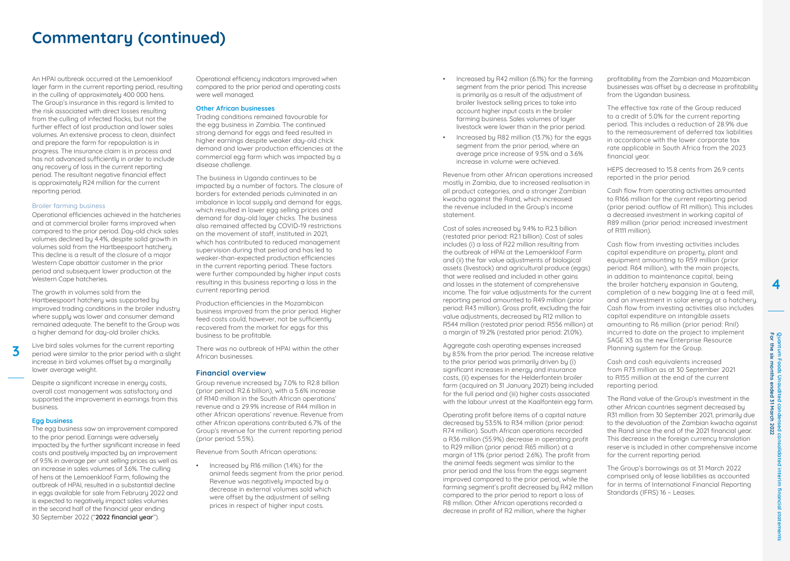# **Commentary (continued)**

An HPAI outbreak occurred at the Lemoenkloof layer farm in the current reporting period, resulting in the culling of approximately 400,000 hens. The Group's insurance in this regard is limited to the risk associated with direct losses resulting from the culling of infected flocks, but not the further effect of lost production and lower sales volumes. An extensive process to clean, disinfect and prepare the farm for repopulation is in progress. The insurance claim is in process and has not advanced sufficiently in order to include any recovery of loss in the current reporting period. The resultant negative financial effect is approximately R24 million for the current reporting period.

#### Broiler farming business

Operational efficiencies achieved in the hatcheries and at commercial broiler farms improved when compared to the prior period. Day-old chick sales volumes declined by 4.4%, despite solid growth in volumes sold from the Hartbeespoort hatchery. This decline is a result of the closure of a major Western Cape abattoir customer in the prior period and subsequent lower production at the Western Cape hatcheries.

The growth in volumes sold from the Hartbeespoort hatchery was supported by improved trading conditions in the broiler industry where supply was lower and consumer demand remained adequate. The benefit to the Group was a higher demand for day-old broiler chicks.

**3**

Live bird sales volumes for the current reporting period were similar to the prior period with a slight increase in bird volumes offset by a marginally lower average weight.

Despite a significant increase in energy costs, overall cost management was satisfactory and supported the improvement in earnings from this business.

### **Egg business**

The egg business saw an improvement compared to the prior period. Earnings were adversely impacted by the further significant increase in feed costs and positively impacted by an improvement of 9.5% in average per unit selling prices as well as an increase in sales volumes of 3.6%. The culling of hens at the Lemoenkloof Farm, following the outbreak of HPAI, resulted in a substantial decline in eggs available for sale from February 2022 and is expected to negatively impact sales volumes in the second half of the financial year ending 30 September 2022 ("**2022 financial year**").

Operational efficiency indicators improved when compared to the prior period and operating costs were well managed.

### **Other African businesses**

Trading conditions remained favourable for the egg business in Zambia. The continued strong demand for eggs and feed resulted in higher earnings despite weaker day-old chick demand and lower production efficiencies at the commercial egg farm which was impacted by a disease challenge.

The business in Uganda continues to be impacted by a number of factors. The closure of borders for extended periods culminated in an imbalance in local supply and demand for eggs, which resulted in lower egg selling prices and demand for day-old layer chicks. The business also remained affected by COVID-19 restrictions on the movement of staff, instituted in 2021 which has contributed to reduced management supervision during that period and has led to weaker-than-expected production efficiencies in the current reporting period. These factors were further compounded by higher input costs resulting in this business reporting a loss in the current reporting period.

Production efficiencies in the Mozambican business improved from the prior period. Higher feed costs could, however, not be sufficiently recovered from the market for eggs for this business to be profitable.

There was no outbreak of HPAI within the other African businesses.

## **Financial overview**

Group revenue increased by 7.0% to R2.8 billion (prior period: R2.6 billion), with a 5.6% increase of R140 million in the South African operations' revenue and a 29.9% increase of R44 million in other African operations' revenue. Revenue from other African operations contributed 6.7% of the Group's revenue for the current reporting period (prior period: 5.5%).

Revenue from South African operations:

• Increased by R16 million (1.4%) for the animal feeds segment from the prior period. Revenue was negatively impacted by a decrease in external volumes sold which were offset by the adjustment of selling prices in respect of higher input costs.

- Increased by R42 million (6.1%) for the farming segment from the prior period. This increase is primarily as a result of the adjustment of broiler livestock selling prices to take into account higher input costs in the broiler farming business. Sales volumes of layer livestock were lower than in the prior period.
- Increased by R82 million (13.7%) for the eggs segment from the prior period, where an average price increase of 9.5% and a 3.6% increase in volume were achieved.

Revenue from other African operations increased mostly in Zambia, due to increased realisation in all product categories, and a stronger Zambian kwacha against the Rand, which increased the revenue included in the Group's income statement.

Cost of sales increased by 9.4% to R2.3 billion (restated prior period: R2.1 billion). Cost of sales includes (i) a loss of R22 million resulting from the outbreak of HPAI at the Lemoenkloof Farm and (ii) the fair value adjustments of biological assets (livestock) and agricultural produce (eggs) that were realised and included in other gains and losses in the statement of comprehensive income. The fair value adjustments for the current reporting period amounted to R49 million (prior period: R43 million). Gross profit, excluding the fair value adjustments, decreased by R12 million to R544 million (restated prior period: R556 million) at a margin of 19.2% (restated prior period: 21.0%).

Aggregate cash operating expenses increased by 8.5% from the prior period. The increase relative to the prior period was primarily driven by (i) significant increases in energy and insurance costs, (ii) expenses for the Helderfontein broiler farm (acquired on 31 January 2021) being included for the full period and (iii) higher costs associated with the labour unrest at the Kaalfontein egg farm.

Operating profit before items of a capital nature decreased by 53.5% to R34 million (prior period: R74 million). South African operations recorded a R36 million (55.9%) decrease in operating profit to R29 million (prior period: R65 million) at a margin of 1.1% (prior period: 2.6%). The profit from the animal feeds segment was similar to the prior period and the loss from the eggs segment improved compared to the prior period, while the farming segment's profit decreased by R42 million compared to the prior period to report a loss of R8 million. Other African operations recorded a decrease in profit of R2 million, where the higher

profitability from the Zambian and Mozambican businesses was offset by a decrease in profitability from the Ugandan business.

The effective tax rate of the Group reduced to a credit of 5.0% for the current reporting period. This includes a reduction of 28.9% due to the remeasurement of deferred tax liabilities in accordance with the lower corporate tax rate applicable in South Africa from the 2023 financial year.

HEPS decreased to 15.8 cents from 26.9 cents reported in the prior period.

Cash flow from operating activities amounted to R166 million for the current reporting period (prior period: outflow of R1 million). This includes a decreased investment in working capital of R89 million (prior period: increased investment of R111 million).

Cash flow from investing activities includes capital expenditure on property, plant and equipment amounting to R59 million (prior period: R64 million), with the main projects, in addition to maintenance capital, being the broiler hatchery expansion in Gautena completion of a new bagging line at a feed mill, and an investment in solar energy at a hatchery. Cash flow from investing activities also includes capital expenditure on intangible assets amounting to R6 million (prior period: Rnil) incurred to date on the project to implement SAGE X3 as the new Enterprise Resource Planning system for the Group.

Cash and cash equivalents increased from R73 million as at 30 September 2021 to R155 million at the end of the current reporting period.

The Rand value of the Group's investment in the other African countries segment decreased by R31 million from 30 September 2021, primarily due to the devaluation of the Zambian kwacha against the Rand since the end of the 2021 financial year. This decrease in the foreign currencu translation reserve is included in other comprehensive income for the current reporting period.

The Group's borrowings as at 31 March 2022 comprised only of lease liabilities as accounted for in terms of International Financial Reporting Standards (IFRS) 16 – Leases.

**Quantum Foods** 

Quantum Foods Unaudited conde<br>For the six months ended 31 March

**Unaudited condensed consolidated interim financial statements For the six months ended 31 March 2022**

ted interim

1 financial star

1sed co<br>1 2022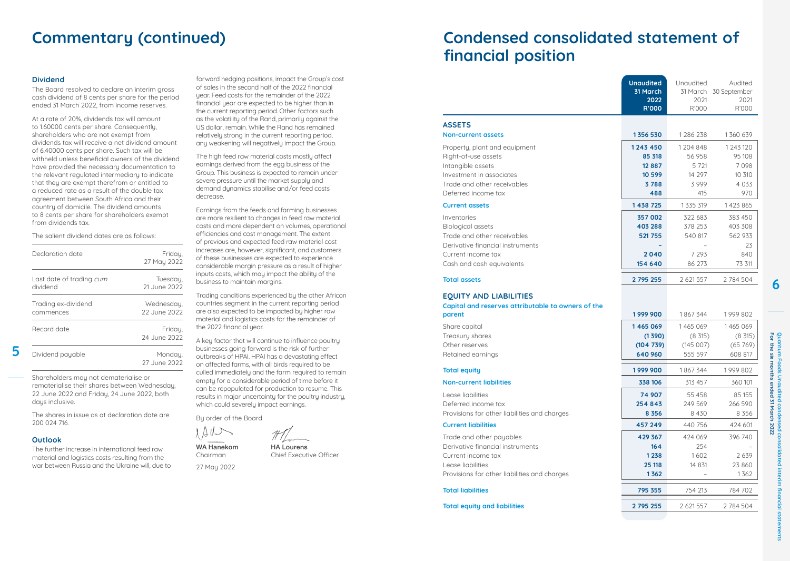# **Commentary (continued)**

### **Dividend**

The Board resolved to declare an interim gross cash dividend of 8 cents per share for the period ended 31 March 2022, from income reserves.

At a rate of 20%, dividends tax will amount to 1.60000 cents per share. Consequently, shareholders who are not exempt from dividends tax will receive a net dividend amount of 6.40000 cents per share. Such tax will be withheld unless beneficial owners of the dividend have provided the necessary documentation to the relevant regulated intermediary to indicate that they are exempt therefrom or entitled to a reduced rate as a result of the double tax agreement between South Africa and their country of domicile. The dividend amounts to 8 cents per share for shareholders exempt from dividends tax.

The salient dividend dates are as follows:

| Declaration date                            | Fridau.<br>27 May 2022     |
|---------------------------------------------|----------------------------|
| Last date of trading <i>cum</i><br>dividend | Tuesday,<br>21 June 2022   |
| Trading ex-dividend<br>commences            | Wednesdau.<br>22 June 2022 |
| Record date                                 | Friday,<br>24 June 2022    |
| Dividend payable                            | Mondau.<br>27 June 2022    |

Shareholders may not dematerialise or rematerialise their shares between Wednesday, 22 June 2022 and Friday, 24 June 2022, both days inclusive.

The shares in issue as at declaration date are 200 024 716.

### **Outlook**

**5**

The further increase in international feed raw material and logistics costs resulting from the war between Russia and the Ukraine will, due to forward hedging positions, impact the Group's cost of sales in the second half of the 2022 financial year. Feed costs for the remainder of the 2022 financial year are expected to be higher than in the current reporting period. Other factors such as the volatility of the Rand, primarily against the US dollar, remain. While the Rand has remained relatively strong in the current reporting period, any weakening will negatively impact the Group.

The high feed raw material costs mostly affect earnings derived from the egg business of the Group. This business is expected to remain under severe pressure until the market supply and demand dynamics stabilise and/or feed costs decrease.

Earnings from the feeds and farming businesses are more resilient to changes in feed raw material costs and more dependent on volumes, operational efficiencies and cost management. The extent of previous and expected feed raw material cost increases are, however, significant, and customers of these businesses are expected to experience considerable margin pressure as a result of higher inputs costs, which may impact the ability of the business to maintain margins.

Trading conditions experienced by the other African countries segment in the current reporting period are also expected to be impacted by higher raw material and logistics costs for the remainder of the 2022 financial year.

A key factor that will continue to influence poultry businesses going forward is the risk of further outbreaks of HPAI. HPAI has a devastating effect on affected farms, with all birds required to be culled immediately and the farm required to remain empty for a considerable period of time before it can be repopulated for production to resume. This results in major uncertainty for the poultry industry, which could severely impact earnings.

By order of the Board

WA Hanekom HA Lourens Chairman Chief Executive Officer

27 May 2022

 $\triangle$  il  $\triangle$ 

# **Condensed consolidated statement of financial position**

|                                                                                                                                                         | <b>Unaudited</b><br>31 March<br>2022<br><b>R'000</b> | Unaudited<br>2021<br>R'000             | Audited<br>31 March 30 September<br>2021<br>R'000 |
|---------------------------------------------------------------------------------------------------------------------------------------------------------|------------------------------------------------------|----------------------------------------|---------------------------------------------------|
| <b>ASSETS</b>                                                                                                                                           |                                                      |                                        |                                                   |
| <b>Non-current assets</b>                                                                                                                               | 1356 530                                             | 1286238                                | 1360 639                                          |
| Property, plant and equipment<br>Right-of-use assets<br>Intangible assets<br>Investment in associates                                                   | 1243 450<br>85 318<br>12 8 8 7<br>10 599             | 1204 848<br>56 958<br>5 7 21<br>14 297 | 1 2 4 3 1 2 0<br>95 108<br>7098<br>10 310         |
| Trade and other receivables<br>Deferred income tax                                                                                                      | 3788<br>488                                          | 3999<br>415                            | 4 0 3 3<br>970                                    |
| <b>Current assets</b>                                                                                                                                   | 1 438 725                                            | 1 3 3 5 3 1 9                          | 1423865                                           |
| Inventories<br><b>Biological assets</b><br>Trade and other receivables                                                                                  | 357 002<br>403 288<br>521 755                        | 322 683<br>378 253<br>540 817          | 383 450<br>403 308<br>562 933                     |
| Derivative financial instruments<br>Current income tax<br>Cash and cash equivalents                                                                     | 2040<br>154 640                                      | 7 2 9 3<br>86 273                      | 23<br>840<br>73 311                               |
| <b>Total assets</b>                                                                                                                                     | 2 795 255                                            | 2 621 557                              | 2 784 504                                         |
| <b>EQUITY AND LIABILITIES</b><br>Capital and reserves attributable to owners of the<br>parent                                                           | 1999 900                                             | 1867344                                | 1999802                                           |
|                                                                                                                                                         | 1465069                                              | 1465069                                | 1465069                                           |
| Share capital<br>Treasury shares<br>Other reserves<br>Retained earnings                                                                                 | (1390)<br>(104739)<br>640 960                        | $(8\;315)$<br>(145007)<br>555 597      | (8, 315)<br>(65769)<br>608 817                    |
| <b>Total equity</b>                                                                                                                                     | 1999 900                                             | 1867344                                | 1999802                                           |
| <b>Non-current liabilities</b>                                                                                                                          | 338 106                                              | 313 457                                | 360 101                                           |
| Lease liabilities<br>Deferred income tax<br>Provisions for other liabilities and charges                                                                | 74 907<br>254 843<br>8 3 5 6                         | 55 458<br>249 569<br>8 4 3 0           | 85 155<br>266 590<br>8 3 5 6                      |
| <b>Current liabilities</b>                                                                                                                              | 457 249                                              | 440 756                                | 424 601                                           |
| Trade and other payables<br>Derivative financial instruments<br>Current income tax<br>Lease liabilities<br>Provisions for other liabilities and charges | 429 367<br>164<br>1 2 3 8<br>25 118<br>1362          | 424 069<br>254<br>1602<br>14 831       | 396 740<br>2639<br>23 860<br>1362                 |
| <b>Total liabilities</b>                                                                                                                                | 795 355                                              | 754 213                                | 784 702                                           |

**Total equity and liabilities 2 795 255** 2 621 557 2 784 504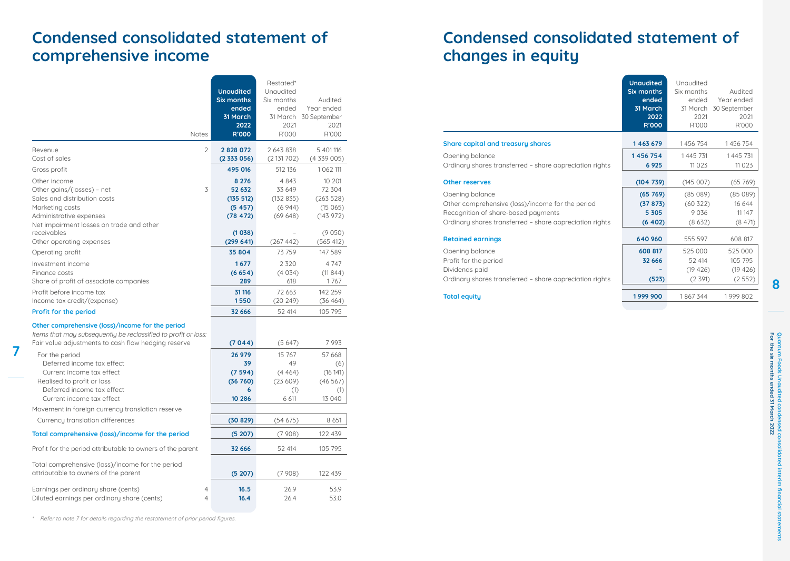# **Condensed consolidated statement of comprehensive income**

| <b>Notes</b>                                                                                                       |                | <b>Unaudited</b><br><b>Six months</b><br>ended<br>31 March<br>2022<br><b>R'000</b> | Restated*<br>Unaudited<br>Six months<br>ended<br>2021<br>R'000 | Audited<br>Year ended<br>31 March 30 September<br>2021<br>R'000 |
|--------------------------------------------------------------------------------------------------------------------|----------------|------------------------------------------------------------------------------------|----------------------------------------------------------------|-----------------------------------------------------------------|
| Revenue                                                                                                            | $\overline{2}$ | 2828072                                                                            | 2 643 838                                                      | 5 401 116                                                       |
| Cost of sales                                                                                                      |                | (2333056)                                                                          | (2131702)                                                      | (4339005)                                                       |
| Gross profit                                                                                                       |                | 495 016                                                                            | 512 136                                                        | 1062111                                                         |
| Other income                                                                                                       |                | 8 2 7 6                                                                            | 4843                                                           | 10 201                                                          |
| Other gains/(losses) - net                                                                                         | 3              | 52 632                                                                             | 33 649                                                         | 72 304                                                          |
| Sales and distribution costs                                                                                       |                | (135 512)                                                                          | (132835)                                                       | (263528)                                                        |
| Marketing costs                                                                                                    |                | (5457)                                                                             | (6944)                                                         | (15065)                                                         |
| Administrative expenses                                                                                            |                | (78, 472)                                                                          | (69648)                                                        | (143972)                                                        |
| Net impairment losses on trade and other<br>receivables                                                            |                | (1038)                                                                             |                                                                | (9050)                                                          |
| Other operating expenses                                                                                           |                | (299641)                                                                           | (267442)                                                       | (565 412)                                                       |
| Operating profit                                                                                                   |                | 35 804                                                                             | 73 759                                                         | 147 589                                                         |
| Investment income                                                                                                  |                | 1677                                                                               | 2320                                                           | 4 7 4 7                                                         |
| Finance costs                                                                                                      |                | (6654)                                                                             | (4034)                                                         | (11844)                                                         |
| Share of profit of associate companies                                                                             |                | 289                                                                                | 618                                                            | 1767                                                            |
| Profit before income tax                                                                                           |                | 31 116                                                                             | 72 663                                                         | 142 259                                                         |
| Income tax credit/(expense)                                                                                        |                | 1550                                                                               | (20249)                                                        | (36 464)                                                        |
| Profit for the period                                                                                              |                | 32 666                                                                             | 52 414                                                         | 105 795                                                         |
| Other comprehensive (loss)/income for the period<br>Items that may subsequently be reclassified to profit or loss: |                |                                                                                    |                                                                |                                                                 |
| Fair value adjustments to cash flow hedging reserve                                                                |                | (7044)                                                                             | (5647)                                                         | 7993                                                            |
| For the period                                                                                                     |                | 26 979                                                                             | 15 767                                                         | 57 668                                                          |
| Deferred income tax effect                                                                                         |                | 39                                                                                 | 49                                                             | (6)                                                             |
| Current income tax effect<br>Realised to profit or loss                                                            |                | (7594)<br>(36 760)                                                                 | (4464)<br>(23609)                                              | (16 141)<br>(46567)                                             |
| Deferred income tax effect                                                                                         |                | 6                                                                                  | (1)                                                            | (1)                                                             |
| Current income tax effect                                                                                          |                | 10 28 6                                                                            | 6 611                                                          | 13 040                                                          |
| Movement in foreign currency translation reserve                                                                   |                |                                                                                    |                                                                |                                                                 |
| Currency translation differences                                                                                   |                | (30829)                                                                            | (54675)                                                        | 8 6 5 1                                                         |
| Total comprehensive (loss)/income for the period                                                                   |                | (5207)                                                                             | (7908)                                                         | 122 439                                                         |
| Profit for the period attributable to owners of the parent                                                         |                | 32 666                                                                             | 52 414                                                         | 105 795                                                         |
|                                                                                                                    |                |                                                                                    |                                                                |                                                                 |
| Total comprehensive (loss)/income for the period<br>attributable to owners of the parent                           |                | (5207)                                                                             | (7908)                                                         | 122 439                                                         |
| Earnings per ordinary share (cents)<br>Diluted earnings per ordinary share (cents)                                 | 4<br>4         | 16.5<br>16.4                                                                       | 26.9<br>26.4                                                   | 53.9<br>53.0                                                    |

\* Refer to note 7 for details regarding the restatement of prior period figures.

**7**

# **Condensed consolidated statement of changes in equity**

|                                                                                                                                                                       | <b>Unaudited</b><br><b>Six months</b><br>ended<br>31 March<br>2022<br>R'000 | Unaudited<br>Six months<br>ended<br>2021<br>R'000 | Audited<br>Year ended<br>31 March 30 September<br>2021<br>R'000 |
|-----------------------------------------------------------------------------------------------------------------------------------------------------------------------|-----------------------------------------------------------------------------|---------------------------------------------------|-----------------------------------------------------------------|
| Share capital and treasury shares                                                                                                                                     | 1463679                                                                     | 1456754                                           | 1456754                                                         |
| Opening balance<br>Ordinary shares transferred - share appreciation rights                                                                                            | 1456754<br>6 9 2 5                                                          | 1445 731<br>11 0 2 3                              | 1445 731<br>11 0 2 3                                            |
| <b>Other reserves</b>                                                                                                                                                 | (104739)                                                                    | (145007)                                          | (65769)                                                         |
| Opening balance<br>Other comprehensive (loss)/income for the period<br>Recognition of share-based payments<br>Ordinary shares transferred - share appreciation rights | (65769)<br>(37873)<br>5 3 0 5<br>(6 402)                                    | (85089)<br>(60322)<br>9036<br>(8632)              | (85089)<br>16 644<br>11 14 7<br>(8471)                          |
| <b>Retained earnings</b>                                                                                                                                              | 640 960                                                                     | 555 597                                           | 608 817                                                         |
| Opening balance<br>Profit for the period<br>Dividends paid<br>Ordinary shares transferred - share appreciation rights                                                 | 608 817<br>32 666<br>(523)                                                  | 525 000<br>52 414<br>(19, 426)<br>(2 391)         | 525 000<br>105 795<br>(19 426)<br>(2552)                        |
| <b>Total equity</b>                                                                                                                                                   | 1999 900                                                                    | 1867344                                           | 1999802                                                         |
|                                                                                                                                                                       |                                                                             |                                                   |                                                                 |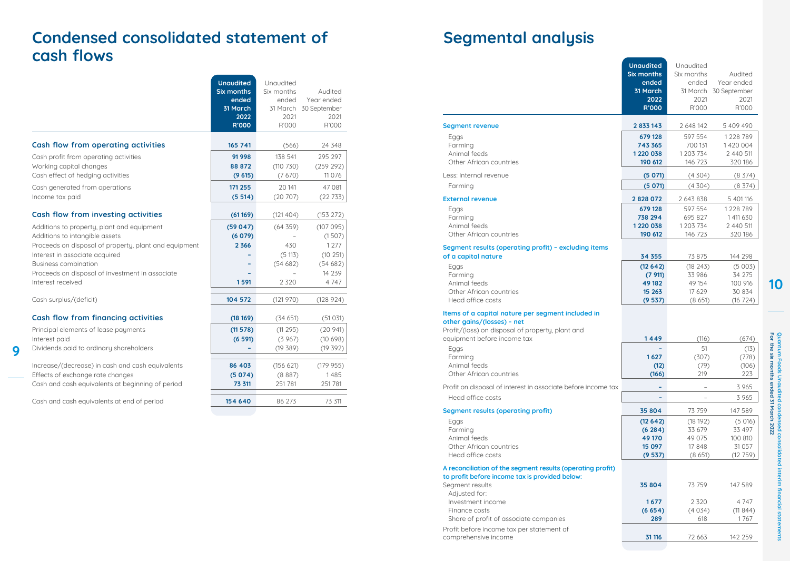# **Condensed consolidated statement of cash flows**

|                                                                                                                                                                                                                                                                                | <b>Unaudited</b><br>Six months<br>ended<br>31 March<br>2022<br>R'000 | Unaudited<br>Six months<br>ended<br>31 March<br>2021<br>R'000 | Audited<br>Year ended<br>30 September<br>2021<br>R'000                     |
|--------------------------------------------------------------------------------------------------------------------------------------------------------------------------------------------------------------------------------------------------------------------------------|----------------------------------------------------------------------|---------------------------------------------------------------|----------------------------------------------------------------------------|
| Cash flow from operating activities                                                                                                                                                                                                                                            | 165 741                                                              | (566)                                                         | 24 348                                                                     |
| Cash profit from operating activities<br>Working capital changes<br>Cash effect of hedging activities                                                                                                                                                                          | 91 998<br>88 872<br>(9615)                                           | 138 541<br>(110 730)<br>(7670)                                | 295 297<br>(259 292)<br>11 0 76                                            |
| Cash generated from operations<br>Income tax paid                                                                                                                                                                                                                              | 171 255<br>(5514)                                                    | 20 141<br>(20707)                                             | 47 081<br>(22733)                                                          |
| Cash flow from investing activities                                                                                                                                                                                                                                            | (61169)                                                              | (121 404)                                                     | (153 272)                                                                  |
| Additions to property, plant and equipment<br>Additions to intangible assets<br>Proceeds on disposal of property, plant and equipment<br>Interest in associate acquired<br><b>Business combination</b><br>Proceeds on disposal of investment in associate<br>Interest received | (59047)<br>(6079)<br>2 3 6 6<br>1591                                 | (64359)<br>430<br>(5113)<br>(54682)<br>2 3 2 0                | (107095)<br>(1507)<br>1 2 7 7<br>(10251)<br>(54682)<br>14 2 3 9<br>4 7 4 7 |
| Cash surplus/(deficit)                                                                                                                                                                                                                                                         | 104 572                                                              | (121970)                                                      | (128924)                                                                   |
| Cash flow from financing activities<br>Principal elements of lease payments<br>Interest paid<br>Dividends paid to ordinary shareholders                                                                                                                                        | (18169)<br>(11 578)<br>(6591)                                        | (34651)<br>(11295)<br>(3967)<br>(19 389)                      | (51 031)<br>(20941)<br>(10698)<br>(19392)                                  |
| Increase/(decrease) in cash and cash equivalents<br>Effects of exchange rate changes<br>Cash and cash equivalents at beginning of period                                                                                                                                       | 86 403<br>(5074)<br>73 311                                           | (156 621)<br>(8887)<br>251 781                                | (179955)<br>1485<br>251 781                                                |
| Cash and cash equivalents at end of period                                                                                                                                                                                                                                     | 154 640                                                              | 86 273                                                        | 73 311                                                                     |

**9**

# **Segmental analysis**

|                                                                                                                                     | <b>Unaudited</b>  | Unaudited  |                       |
|-------------------------------------------------------------------------------------------------------------------------------------|-------------------|------------|-----------------------|
|                                                                                                                                     | <b>Six months</b> | Six months | Audited               |
|                                                                                                                                     | ended             | ended      | Year ended            |
|                                                                                                                                     | 31 March          |            | 31 March 30 September |
|                                                                                                                                     | 2022              | 2021       | 2021                  |
|                                                                                                                                     | <b>R'000</b>      | R'000      | R'000                 |
| <b>Segment revenue</b>                                                                                                              | 2833143           | 2 648 142  | 5 409 490             |
| Eggs                                                                                                                                | 679 128           | 597 554    | 1228 789              |
| Farming                                                                                                                             | 743 365           | 700 131    | 1420 004              |
| Animal feeds                                                                                                                        | 1 2 2 0 0 3 8     | 1 203 734  | 2 440 511             |
| Other African countries                                                                                                             | 190 612           | 146 723    | 320 186               |
| Less: Internal revenue                                                                                                              | (5071)            | (4304)     | (8374)                |
| Farming                                                                                                                             | (5071)            | (4304)     | $(8\;374)$            |
| <b>External revenue</b>                                                                                                             | 2828072           | 2 643 838  | 5 401 116             |
| Eggs                                                                                                                                | 679 128           | 597 554    | 1228 789              |
| Farming                                                                                                                             | 738 294           | 695 827    | 1 411 630             |
| Animal feeds                                                                                                                        | 1 2 2 0 0 3 8     | 1 203 734  | 2 440 511             |
| Other African countries                                                                                                             | 190 612           | 146 723    | 320 186               |
| Segment results (operating profit) - excluding items                                                                                |                   |            |                       |
| of a capital nature                                                                                                                 | 34 355            | 73 875     | 144 298               |
| Eggs                                                                                                                                | (12642)           | (18243)    | (5003)                |
| Farming                                                                                                                             | (7911)            | 33 986     | 34 275                |
| Animal feeds                                                                                                                        | 49 182            | 49 154     | 100 916               |
| Other African countries                                                                                                             | 15 263            | 17 6 29    | 30 834                |
| Head office costs                                                                                                                   | (9537)            | (8651)     | (16724)               |
| Items of a capital nature per segment included in<br>other gains/(losses) - net<br>Profit/(loss) on disposal of property, plant and |                   |            |                       |
| equipment before income tax                                                                                                         | 1449              | (116)      | (674)                 |
| Eggs                                                                                                                                |                   | 51         | (13)                  |
| Farming                                                                                                                             | 1627              | (307)      | (778)                 |
| Animal feeds                                                                                                                        | (12)              | (79)       | (106)                 |
| Other African countries                                                                                                             | (166)             | 219        | 223                   |
| Profit on disposal of interest in associate before income tax                                                                       |                   |            | 3 9 6 5               |
| Head office costs                                                                                                                   |                   |            | 3 965                 |
| Segment results (operating profit)                                                                                                  | 35 804            | 73 759     | 147 589               |
| Eggs                                                                                                                                | (12642)           | (18192)    | (5016)                |
| Farming                                                                                                                             | (6284)            | 33 679     | 33 497                |
| Animal feeds                                                                                                                        | 49 170            | 49 0 75    | 100 810               |
| Other African countries                                                                                                             | 15 097            | 17848      | 31 0 57               |
| Head office costs                                                                                                                   | (9537)            | (8651)     | (12759)               |
| A reconciliation of the segment results (operating profit)<br>to profit before income tax is provided below:<br>Segment results     | 35 804            | 73 759     | 147 589               |
| Adjusted for:                                                                                                                       |                   |            |                       |
| Investment income                                                                                                                   | 1677              | 2 3 2 0    | 4 7 4 7               |
| Finance costs                                                                                                                       | (6654)            | (4034)     | (11844)               |
| Share of profit of associate companies                                                                                              | 289               | 618        | 1767                  |
| Profit before income tax per statement of<br>comprehensive income                                                                   | 31 116            | 72 663     | 142 259               |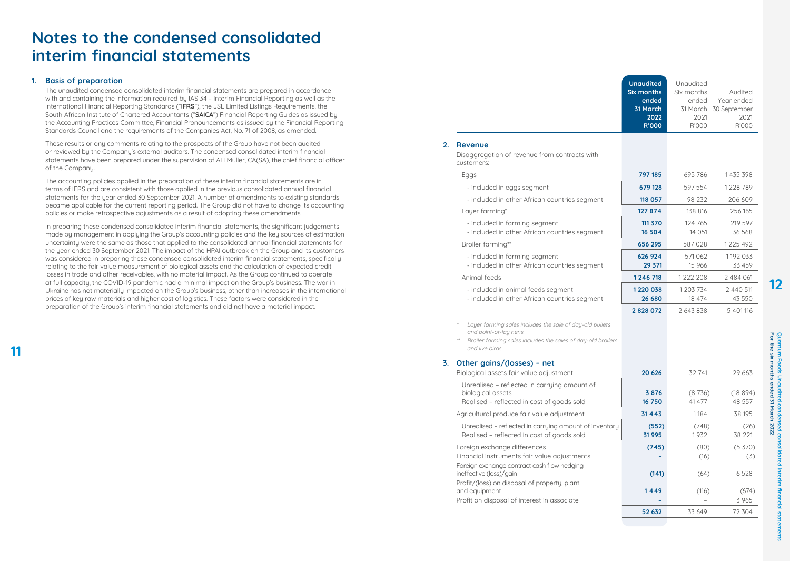# **Notes to the condensed consolidated interim financial statements**

## **1. Basis of preparation**

**11**

The unaudited condensed consolidated interim financial statements are prepared in accordance with and containing the information required by IAS 34 – Interim Financial Reporting as well as the International Financial Reporting Standards ("**IFRS**"), the JSE Limited Listings Requirements, the South African Institute of Chartered Accountants ("**SAICA**") Financial Reporting Guides as issued by the Accounting Practices Committee, Financial Pronouncements as issued by the Financial Reporting Standards Council and the requirements of the Companies Act, No. 71 of 2008, as amended.

These results or any comments relating to the prospects of the Group have not been audited or reviewed by the Company's external auditors. The condensed consolidated interim financial statements have been prepared under the supervision of AH Muller, CA(SA), the chief financial officer of the Company.

The accounting policies applied in the preparation of these interim financial statements are in terms of IFRS and are consistent with those applied in the previous consolidated annual financial statements for the year ended 30 September 2021. A number of amendments to existing standards became applicable for the current reporting period. The Group did not have to change its accounting policies or make retrospective adjustments as a result of adopting these amendments.

In preparing these condensed consolidated interim financial statements, the significant judgements made by management in applying the Group's accounting policies and the key sources of estimation uncertainty were the same as those that applied to the consolidated annual financial statements for the year ended 30 September 2021. The impact of the HPAI outbreak on the Group and its customers was considered in preparing these condensed consolidated interim financial statements, specifically relating to the fair value measurement of biological assets and the calculation of expected credit losses in trade and other receivables, with no material impact. As the Group continued to operate at full capacity, the COVID-19 pandemic had a minimal impact on the Group's business. The war in Ukraine has not materially impacted on the Group's business, other than increases in the international prices of key raw materials and higher cost of logistics. These factors were considered in the preparation of the Group's interim financial statements and did not have a material impact.

|    |                                                                                                                                                                       | <b>Unaudited</b><br><b>Six months</b><br>ended<br>31 March<br>2022<br>R'000 | Unaudited<br>Six months<br>ended<br>2021<br>R'000 | Audited<br>Year ended<br>31 March 30 September<br>2021<br>R'000 |
|----|-----------------------------------------------------------------------------------------------------------------------------------------------------------------------|-----------------------------------------------------------------------------|---------------------------------------------------|-----------------------------------------------------------------|
| 2. | Revenue<br>Disaggregation of revenue from contracts with<br>customers:                                                                                                |                                                                             |                                                   |                                                                 |
|    | Eggs                                                                                                                                                                  | 797 185                                                                     | 695 786                                           | 1435 398                                                        |
|    | - included in eggs segment                                                                                                                                            | 679 128                                                                     | 597 554                                           | 1228 789                                                        |
|    | - included in other African countries segment                                                                                                                         | 118 057                                                                     | 98 232                                            | 206 609                                                         |
|    | Layer farming*                                                                                                                                                        | 127 874                                                                     | 138 816                                           | 256 165                                                         |
|    | - included in farming segment<br>- included in other African countries segment                                                                                        | 111 370<br>16 504                                                           | 124 765<br>14 0 51                                | 219 597<br>36 568                                               |
|    | Broiler farming**                                                                                                                                                     | 656 295                                                                     | 587028                                            | 1225 492                                                        |
|    | - included in farming segment<br>- included in other African countries segment                                                                                        | 626 924<br>29 371                                                           | 571062<br>15 9 66                                 | 1192 033<br>33 459                                              |
|    | Animal feeds                                                                                                                                                          | 1246718                                                                     | 1222 208                                          | 2 484 061                                                       |
|    | - included in animal feeds segment<br>- included in other African countries segment                                                                                   | 1 2 2 0 0 3 8<br>26 680                                                     | 1 203 734<br>18 474                               | 2 440 511<br>43 550                                             |
|    |                                                                                                                                                                       | 2828072                                                                     | 2 643 838                                         | 5 401 116                                                       |
|    | Layer farming sales includes the sale of day-old pullets<br>and point-of-lay hens.<br>Broiler farming sales includes the sales of day-old broilers<br>and live birds. |                                                                             |                                                   |                                                                 |
| 3. | Other gains/(losses) - net<br>Biological assets fair value adjustment                                                                                                 | 20 6 26                                                                     | 32 741                                            | 29 663                                                          |
|    | Unrealised - reflected in carrying amount of<br>biological assets<br>Realised - reflected in cost of goods sold                                                       | 3876                                                                        | (8736)<br>41 477                                  | (18894)                                                         |
|    | Agricultural produce fair value adjustment                                                                                                                            | 16 750<br>31 4 4 3                                                          | 1184                                              | 48 557<br>38 195                                                |

Unrealised – reflected in carrying amount of inventory **(552)** (748) (26) Realised – reflected in cost of goods sold<br> **31 995** 1 932 38 221 Foreign exchange differences (745) (80) (5 370) Financial instruments fair value adjustments **–** (16) (3)

ineffective (loss)/gain **(141)** (64) 6 528

and equipment **1 449** (116) (674) Profit on disposal of interest in associate **–** – 3 965

 **52 632** 33 649 72 304

Foreign exchange contract cash flow hedging

Profit/(loss) on disposal of property, plant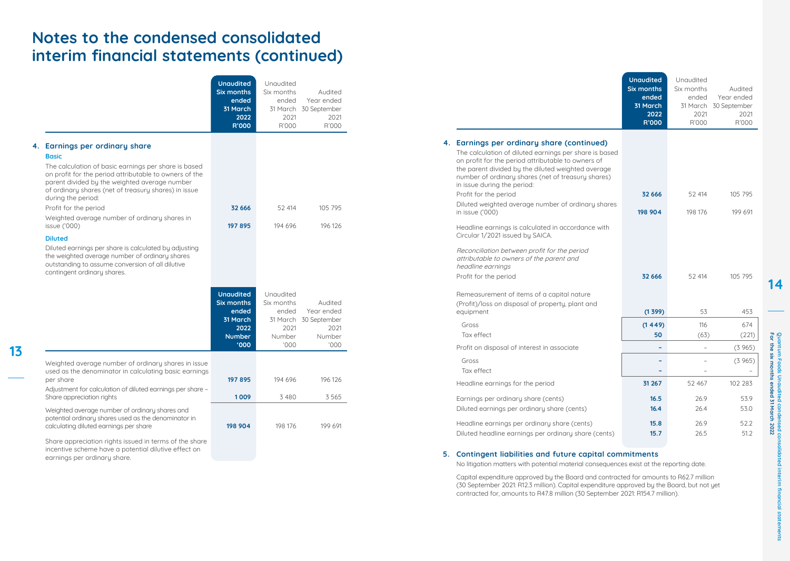# **Notes to the condensed consolidated interim financial statements (continued)**

|    |                                                                                                                                                                                                                                                                                                                                                                                                                                                                                                                                                                         | <b>Unaudited</b><br><b>Six months</b><br>ended<br>31 March<br>2022<br>R'000                          | Unaudited<br>Six months<br>ended<br>31 March<br>2021<br>R'000          | Audited<br>Year ended<br>30 September<br>2021<br>R'000          |
|----|-------------------------------------------------------------------------------------------------------------------------------------------------------------------------------------------------------------------------------------------------------------------------------------------------------------------------------------------------------------------------------------------------------------------------------------------------------------------------------------------------------------------------------------------------------------------------|------------------------------------------------------------------------------------------------------|------------------------------------------------------------------------|-----------------------------------------------------------------|
| 4. | Earnings per ordinary share<br><b>Basic</b><br>The calculation of basic earnings per share is based<br>on profit for the period attributable to owners of the<br>parent divided by the weighted average number<br>of ordinary shares (net of treasury shares) in issue<br>during the period:<br>Profit for the period<br>Weighted average number of ordinary shares in<br>issue ('000)<br><b>Diluted</b><br>Diluted earnings per share is calculated by adjusting<br>the weighted average number of ordinary shares<br>outstanding to assume conversion of all dilutive | 32 666<br>197 895                                                                                    | 52 414<br>194 696                                                      | 105 795<br>196 126                                              |
|    | contingent ordinary shares.                                                                                                                                                                                                                                                                                                                                                                                                                                                                                                                                             | <b>Unaudited</b><br><b>Six months</b><br>ended<br>31 March<br>2022<br><b>Number</b><br>$000^{\circ}$ | Unaudited<br>Six months<br>ended<br>31 March<br>2021<br>Number<br>000' | Audited<br>Year ended<br>30 September<br>2021<br>Number<br>000' |
|    | Weighted average number of ordinary shares in issue<br>used as the denominator in calculating basic earnings<br>per share<br>Adjustment for calculation of diluted earnings per share -<br>Share appreciation rights                                                                                                                                                                                                                                                                                                                                                    | 197 895<br>1009                                                                                      | 194 696<br>3480                                                        | 196 126<br>3565                                                 |
|    | Weighted average number of ordinary shares and<br>potential ordinary shares used as the denominator in<br>calculating diluted earnings per share<br>Share appreciation rights issued in terms of the share<br>incentive scheme have a potential dilutive effect on<br>earnings per ordinary share.                                                                                                                                                                                                                                                                      | 198 904                                                                                              | 198 176                                                                | 199 691                                                         |

**13**

|                                                                                                                                                                                                                                                                                                                                | <b>Unaudited</b><br><b>Six months</b><br>ended<br>31 March<br>2022<br>R'000 | Unaudited<br>Six months<br>ended<br>2021<br>R'000 | Audited<br>Year ended<br>31 March 30 September<br>2021<br>R'000 |
|--------------------------------------------------------------------------------------------------------------------------------------------------------------------------------------------------------------------------------------------------------------------------------------------------------------------------------|-----------------------------------------------------------------------------|---------------------------------------------------|-----------------------------------------------------------------|
| 4. Earnings per ordinary share (continued)<br>The calculation of diluted earnings per share is based<br>on profit for the period attributable to owners of<br>the parent divided by the diluted weighted average<br>number of ordinary shares (net of treasury shares)<br>in issue during the period:<br>Profit for the period | 32 666                                                                      | 52 414                                            | 105 795                                                         |
| Diluted weighted average number of ordinary shares<br>in issue ('000)                                                                                                                                                                                                                                                          | 198 904                                                                     | 198 176                                           | 199 691                                                         |
| Headline earnings is calculated in accordance with<br>Circular 1/2021 issued by SAICA.                                                                                                                                                                                                                                         |                                                                             |                                                   |                                                                 |
| Reconciliation between profit for the period<br>attributable to owners of the parent and<br>headline earnings                                                                                                                                                                                                                  |                                                                             |                                                   |                                                                 |
| Profit for the period                                                                                                                                                                                                                                                                                                          | 32 666                                                                      | 52 414                                            | 105 795                                                         |
| Remeasurement of items of a capital nature<br>(Profit)/loss on disposal of property, plant and<br>equipment                                                                                                                                                                                                                    | (1399)                                                                      | 53                                                | 453                                                             |
| Gross                                                                                                                                                                                                                                                                                                                          | (1449)                                                                      | 116                                               | 674                                                             |
| Tax effect                                                                                                                                                                                                                                                                                                                     | 50                                                                          | (63)                                              | (221)                                                           |
| Profit on disposal of interest in associate                                                                                                                                                                                                                                                                                    |                                                                             |                                                   | (3965)                                                          |
| Gross<br>Tax effect                                                                                                                                                                                                                                                                                                            |                                                                             |                                                   | (3965)                                                          |
| Headline earnings for the period                                                                                                                                                                                                                                                                                               | 31 267                                                                      | 52 467                                            | 102 283                                                         |
| Earnings per ordinary share (cents)<br>Diluted earnings per ordinary share (cents)                                                                                                                                                                                                                                             | 16.5<br>16.4                                                                | 26.9<br>26.4                                      | 53.9<br>53.0                                                    |
| Headline earnings per ordinary share (cents)<br>Diluted headline earnings per ordinary share (cents)                                                                                                                                                                                                                           | 15.8<br>15.7                                                                | 26.9<br>26.5                                      | 52.2<br>51.2                                                    |

## **5. Contingent liabilities and future capital commitments**

No litigation matters with potential material consequences exist at the reporting date.

Capital expenditure approved by the Board and contracted for amounts to R62.7 million (30 September 2021: R12.3 million). Capital expenditure approved by the Board, but not yet contracted for, amounts to R47.8 million (30 September 2021: R154.7 million).

**ata**